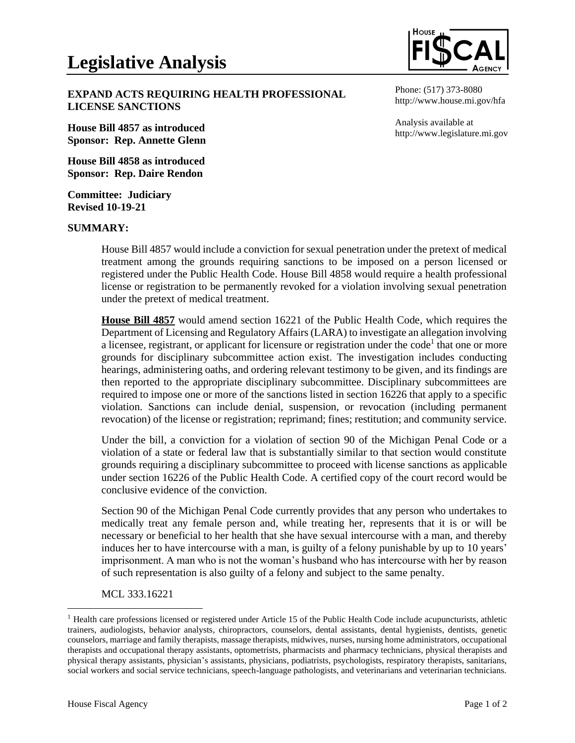

**EXPAND ACTS REQUIRING HEALTH PROFESSIONAL LICENSE SANCTIONS**

**House Bill 4857 as introduced Sponsor: Rep. Annette Glenn**

**House Bill 4858 as introduced Sponsor: Rep. Daire Rendon**

**Committee: Judiciary Revised 10-19-21**

## **SUMMARY:**

Phone: (517) 373-8080 http://www.house.mi.gov/hfa

Analysis available at http://www.legislature.mi.gov

House Bill 4857 would include a conviction for sexual penetration under the pretext of medical treatment among the grounds requiring sanctions to be imposed on a person licensed or registered under the Public Health Code. House Bill 4858 would require a health professional license or registration to be permanently revoked for a violation involving sexual penetration under the pretext of medical treatment.

**House Bill 4857** would amend section 16221 of the Public Health Code, which requires the Department of Licensing and Regulatory Affairs (LARA) to investigate an allegation involving a licensee, registrant, or applicant for licensure or registration under the code<sup>1</sup> that one or more grounds for disciplinary subcommittee action exist. The investigation includes conducting hearings, administering oaths, and ordering relevant testimony to be given, and its findings are then reported to the appropriate disciplinary subcommittee. Disciplinary subcommittees are required to impose one or more of the sanctions listed in section 16226 that apply to a specific violation. Sanctions can include denial, suspension, or revocation (including permanent revocation) of the license or registration; reprimand; fines; restitution; and community service.

Under the bill, a conviction for a violation of section 90 of the Michigan Penal Code or a violation of a state or federal law that is substantially similar to that section would constitute grounds requiring a disciplinary subcommittee to proceed with license sanctions as applicable under section 16226 of the Public Health Code. A certified copy of the court record would be conclusive evidence of the conviction.

Section 90 of the Michigan Penal Code currently provides that any person who undertakes to medically treat any female person and, while treating her, represents that it is or will be necessary or beneficial to her health that she have sexual intercourse with a man, and thereby induces her to have intercourse with a man, is guilty of a felony punishable by up to 10 years' imprisonment. A man who is not the woman's husband who has intercourse with her by reason of such representation is also guilty of a felony and subject to the same penalty.

MCL 333.16221

 $<sup>1</sup>$  Health care professions licensed or registered under Article 15 of the Public Health Code include acupuncturists, athletic</sup> trainers, audiologists, behavior analysts, chiropractors, counselors, dental assistants, dental hygienists, dentists, genetic counselors, marriage and family therapists, massage therapists, midwives, nurses, nursing home administrators, occupational therapists and occupational therapy assistants, optometrists, pharmacists and pharmacy technicians, physical therapists and physical therapy assistants, physician's assistants, physicians, podiatrists, psychologists, respiratory therapists, sanitarians, social workers and social service technicians, speech-language pathologists, and veterinarians and veterinarian technicians.